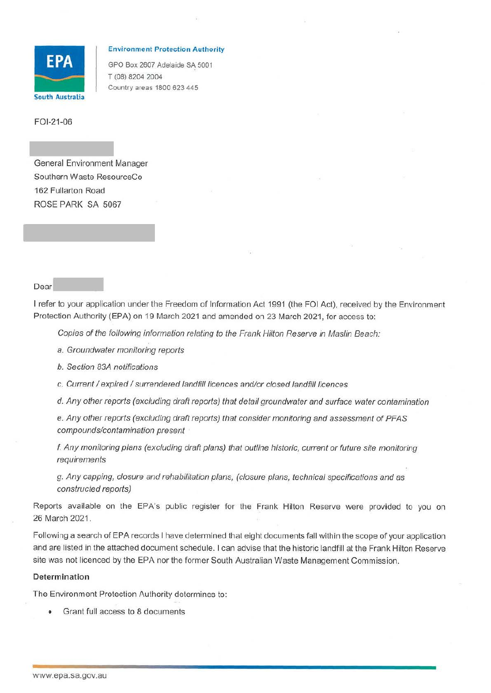

## **Environment Protection Authority**

GPO Box 2607 Adelaide SA 5001 T (08) 8204 2004 Country areas 1800 623 445

FOl-21-06

General Environment Manager Southern Waste ResourceCo 162 Fullarton Road ROSE PARK SA 5067

## Dear

I refer to your application under the Freedom of Information Act 1991 (the FOi Act). received by the Environment Protection Authority (EPA) on 19 March 2021 and amended on 23 March 2021, for access to:

Copies of the following information relating to the Frank Hilton Reserve in Maslin Beach:

a. Groundwater monitoring reports

b. Section 83A notifications

c. Current / expired / surrendered landfill licences and/or closed landfill licences

d. Any other reports (excluding draft reports) that detail groundwater and surface water contamination

e. Any other reports (excluding draft reports) that consider monitoring and assessment of PFAS compounds/contamination present

f. Any monitoring plans (excluding draft plans) that outline historic, current or future site monitoring requirements

g. Any capping, closure and rehabilitation plans, (closure plans, technical specifications and as constructed reports)

Reports available on the EPA's public register for the Frank Hilton Reserve were provided to you on 26 March 2021.

Following a search of EPA records I have determined that eight documents fall within the scope of your application and are listed in the attached document schedule. I can advise that the historic landfill at the Frank Hilton Reserve site was not licenced by the EPA nor the former South Australian Waste Management Commission.

## **Determination**

The Environment Protection Authority determines to:

• Grant full access to 8 documents